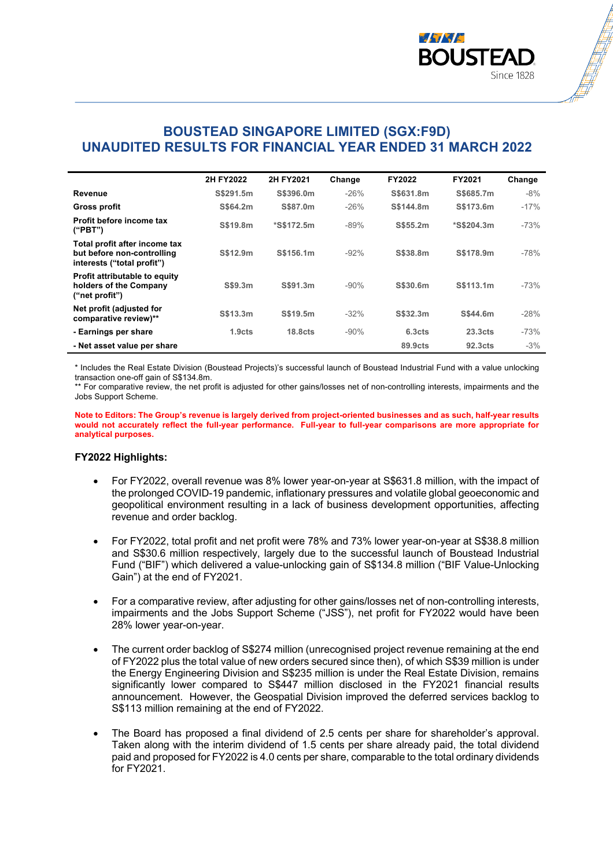

## **BOUSTEAD SINGAPORE LIMITED (SGX:F9D) UNAUDITED RESULTS FOR FINANCIAL YEAR ENDED 31 MARCH 2022**

|                                                                                           | 2H FY2022          | 2H FY2021           | Change | FY2022             | FY2021              | Change |
|-------------------------------------------------------------------------------------------|--------------------|---------------------|--------|--------------------|---------------------|--------|
| Revenue                                                                                   | S\$291.5m          | S\$396.0m           | $-26%$ | S\$631.8m          | S\$685.7m           | $-8\%$ |
| <b>Gross profit</b>                                                                       | S\$64.2m           | S\$87.0m            | $-26%$ | S\$144.8m          | S\$173.6m           | $-17%$ |
| Profit before income tax<br>("PBT")                                                       | S\$19.8m           | *S\$172.5m          | $-89%$ | S\$55.2m           | *S\$204.3m          | $-73%$ |
| Total profit after income tax<br>but before non-controlling<br>interests ("total profit") | S\$12.9m           | S\$156.1m           | $-92%$ | S\$38.8m           | S\$178.9m           | $-78%$ |
| <b>Profit attributable to equity</b><br>holders of the Company<br>("net profit")          | S\$9.3m            | S\$91.3m            | $-90%$ | S\$30.6m           | S\$113.1m           | $-73%$ |
| Net profit (adjusted for<br>comparative review)**                                         | S\$13.3m           | S\$19.5m            | $-32%$ | S\$32.3m           | S\$44.6m            | $-28%$ |
| - Earnings per share                                                                      | 1.9 <sub>cts</sub> | 18.8 <sub>cts</sub> | $-90%$ | 6.3 <sub>cts</sub> | 23.3 <sub>cts</sub> | $-73%$ |
| - Net asset value per share                                                               |                    |                     |        | 89.9cts            | 92.3 <sub>cts</sub> | $-3\%$ |

\* Includes the Real Estate Division (Boustead Projects)'s successful launch of Boustead Industrial Fund with a value unlocking transaction one-off gain of S\$134.8m.

\*\* For comparative review, the net profit is adjusted for other gains/losses net of non-controlling interests, impairments and the Jobs Support Scheme.

**Note to Editors: The Group's revenue is largely derived from project-oriented businesses and as such, half-year results would not accurately reflect the full-year performance. Full-year to full-year comparisons are more appropriate for analytical purposes.**

## **FY2022 Highlights:**

- For FY2022, overall revenue was 8% lower year-on-year at S\$631.8 million, with the impact of the prolonged COVID-19 pandemic, inflationary pressures and volatile global geoeconomic and geopolitical environment resulting in a lack of business development opportunities, affecting revenue and order backlog.
- For FY2022, total profit and net profit were 78% and 73% lower year-on-year at S\$38.8 million and S\$30.6 million respectively, largely due to the successful launch of Boustead Industrial Fund ("BIF") which delivered a value-unlocking gain of S\$134.8 million ("BIF Value-Unlocking Gain") at the end of FY2021.
- For a comparative review, after adjusting for other gains/losses net of non-controlling interests, impairments and the Jobs Support Scheme ("JSS"), net profit for FY2022 would have been 28% lower year-on-year.
- The current order backlog of S\$274 million (unrecognised project revenue remaining at the end of FY2022 plus the total value of new orders secured since then), of which S\$39 million is under the Energy Engineering Division and S\$235 million is under the Real Estate Division, remains significantly lower compared to S\$447 million disclosed in the FY2021 financial results announcement. However, the Geospatial Division improved the deferred services backlog to S\$113 million remaining at the end of FY2022.
- The Board has proposed a final dividend of 2.5 cents per share for shareholder's approval. Taken along with the interim dividend of 1.5 cents per share already paid, the total dividend paid and proposed for FY2022 is 4.0 cents per share, comparable to the total ordinary dividends for FY2021.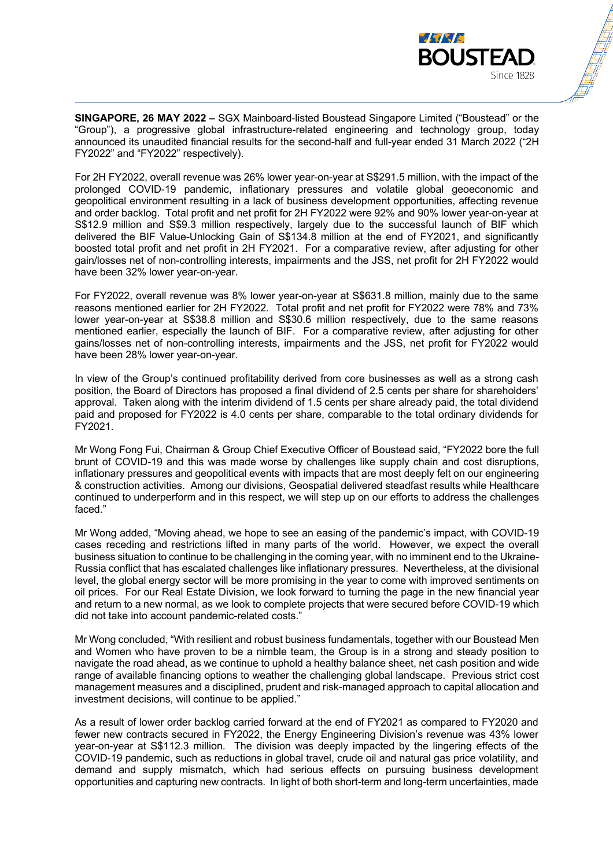

**SINGAPORE, 26 MAY 2022 –** SGX Mainboard-listed Boustead Singapore Limited ("Boustead" or the "Group"), a progressive global infrastructure-related engineering and technology group, today announced its unaudited financial results for the second-half and full-year ended 31 March 2022 ("2H FY2022" and "FY2022" respectively).

For 2H FY2022, overall revenue was 26% lower year-on-year at S\$291.5 million, with the impact of the prolonged COVID-19 pandemic, inflationary pressures and volatile global geoeconomic and geopolitical environment resulting in a lack of business development opportunities, affecting revenue and order backlog. Total profit and net profit for 2H FY2022 were 92% and 90% lower year-on-year at S\$12.9 million and S\$9.3 million respectively, largely due to the successful launch of BIF which delivered the BIF Value-Unlocking Gain of S\$134.8 million at the end of FY2021, and significantly boosted total profit and net profit in 2H FY2021. For a comparative review, after adjusting for other gain/losses net of non-controlling interests, impairments and the JSS, net profit for 2H FY2022 would have been 32% lower year-on-year.

For FY2022, overall revenue was 8% lower year-on-year at S\$631.8 million, mainly due to the same reasons mentioned earlier for 2H FY2022. Total profit and net profit for FY2022 were 78% and 73% lower year-on-year at S\$38.8 million and S\$30.6 million respectively, due to the same reasons mentioned earlier, especially the launch of BIF. For a comparative review, after adjusting for other gains/losses net of non-controlling interests, impairments and the JSS, net profit for FY2022 would have been 28% lower year-on-year.

In view of the Group's continued profitability derived from core businesses as well as a strong cash position, the Board of Directors has proposed a final dividend of 2.5 cents per share for shareholders' approval. Taken along with the interim dividend of 1.5 cents per share already paid, the total dividend paid and proposed for FY2022 is 4.0 cents per share, comparable to the total ordinary dividends for FY2021.

Mr Wong Fong Fui, Chairman & Group Chief Executive Officer of Boustead said, "FY2022 bore the full brunt of COVID-19 and this was made worse by challenges like supply chain and cost disruptions, inflationary pressures and geopolitical events with impacts that are most deeply felt on our engineering & construction activities. Among our divisions, Geospatial delivered steadfast results while Healthcare continued to underperform and in this respect, we will step up on our efforts to address the challenges faced."

Mr Wong added, "Moving ahead, we hope to see an easing of the pandemic's impact, with COVID-19 cases receding and restrictions lifted in many parts of the world. However, we expect the overall business situation to continue to be challenging in the coming year, with no imminent end to the Ukraine-Russia conflict that has escalated challenges like inflationary pressures. Nevertheless, at the divisional level, the global energy sector will be more promising in the year to come with improved sentiments on oil prices. For our Real Estate Division, we look forward to turning the page in the new financial year and return to a new normal, as we look to complete projects that were secured before COVID-19 which did not take into account pandemic-related costs."

Mr Wong concluded, "With resilient and robust business fundamentals, together with our Boustead Men and Women who have proven to be a nimble team, the Group is in a strong and steady position to navigate the road ahead, as we continue to uphold a healthy balance sheet, net cash position and wide range of available financing options to weather the challenging global landscape. Previous strict cost management measures and a disciplined, prudent and risk-managed approach to capital allocation and investment decisions, will continue to be applied."

As a result of lower order backlog carried forward at the end of FY2021 as compared to FY2020 and fewer new contracts secured in FY2022, the Energy Engineering Division's revenue was 43% lower year-on-year at S\$112.3 million. The division was deeply impacted by the lingering effects of the COVID-19 pandemic, such as reductions in global travel, crude oil and natural gas price volatility, and demand and supply mismatch, which had serious effects on pursuing business development opportunities and capturing new contracts. In light of both short-term and long-term uncertainties, made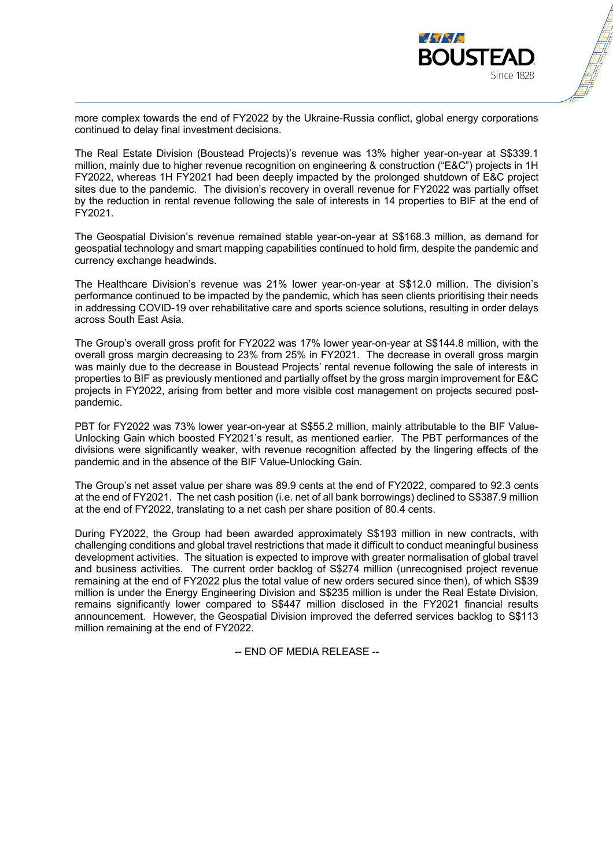

more complex towards the end of FY2022 by the Ukraine-Russia conflict, global energy corporations continued to delay final investment decisions.

The Real Estate Division (Boustead Projects)'s revenue was 13% higher year-on-year at S\$339.1 million, mainly due to higher revenue recognition on engineering & construction ("E&C") projects in 1H FY2022, whereas 1H FY2021 had been deeply impacted by the prolonged shutdown of E&C project sites due to the pandemic. The division's recovery in overall revenue for FY2022 was partially offset by the reduction in rental revenue following the sale of interests in 14 properties to BIF at the end of FY2021.

The Geospatial Division's revenue remained stable year-on-year at S\$168.3 million, as demand for geospatial technology and smart mapping capabilities continued to hold firm, despite the pandemic and currency exchange headwinds.

The Healthcare Division's revenue was 21% lower year-on-year at S\$12.0 million. The division's performance continued to be impacted by the pandemic, which has seen clients prioritising their needs in addressing COVID-19 over rehabilitative care and sports science solutions, resulting in order delays across South East Asia.

The Group's overall gross profit for FY2022 was 17% lower year-on-year at S\$144.8 million, with the overall gross margin decreasing to 23% from 25% in FY2021. The decrease in overall gross margin was mainly due to the decrease in Boustead Projects' rental revenue following the sale of interests in properties to BIF as previously mentioned and partially offset by the gross margin improvement for E&C projects in FY2022, arising from better and more visible cost management on projects secured postpandemic.

PBT for FY2022 was 73% lower year-on-year at S\$55.2 million, mainly attributable to the BIF Value-Unlocking Gain which boosted FY2021's result, as mentioned earlier. The PBT performances of the divisions were significantly weaker, with revenue recognition affected by the lingering effects of the pandemic and in the absence of the BIF Value-Unlocking Gain.

The Group's net asset value per share was 89.9 cents at the end of FY2022, compared to 92.3 cents at the end of FY2021. The net cash position (i.e. net of all bank borrowings) declined to S\$387.9 million at the end of FY2022, translating to a net cash per share position of 80.4 cents.

During FY2022, the Group had been awarded approximately S\$193 million in new contracts, with challenging conditions and global travel restrictions that made it difficult to conduct meaningful business development activities. The situation is expected to improve with greater normalisation of global travel and business activities. The current order backlog of S\$274 million (unrecognised project revenue remaining at the end of FY2022 plus the total value of new orders secured since then), of which S\$39 million is under the Energy Engineering Division and S\$235 million is under the Real Estate Division, remains significantly lower compared to S\$447 million disclosed in the FY2021 financial results announcement. However, the Geospatial Division improved the deferred services backlog to S\$113 million remaining at the end of FY2022.

-- END OF MEDIA RELEASE --